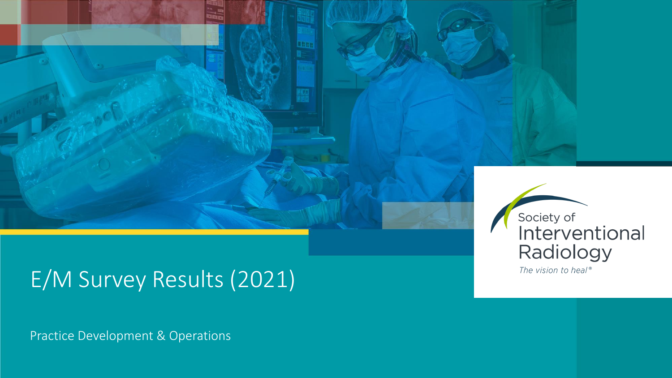

# E/M Survey Results (2021)

Practice Development & Operations

Society of<br>Interventional Radiology The vision to heal®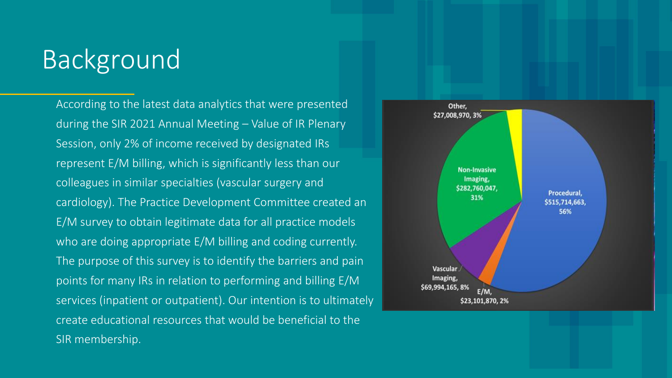# Background

According to the latest data analytics that were presented during the SIR 2021 Annual Meeting – Value of IR Plenary Session, only 2% of income received by designated IRs represent E/M billing, which is significantly less than our colleagues in similar specialties (vascular surgery and cardiology). The Practice Development Committee created an E/M survey to obtain legitimate data for all practice models who are doing appropriate E/M billing and coding currently. The purpose of this survey is to identify the barriers and pain points for many IRs in relation to performing and billing E/M services (inpatient or outpatient). Our intention is to ultimately create educational resources that would be beneficial to the SIR membership.

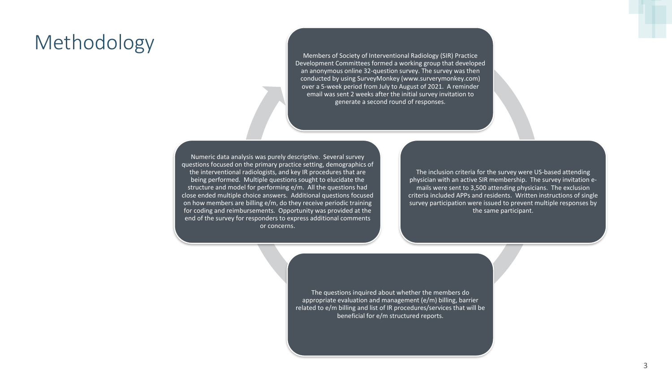## Methodology

Members of Society of Interventional Radiology (SIR) Practice Development Committees formed a working group that developed an anonymous online 32-question survey. The survey was then conducted by using SurveyMonkey (www.surverymonkey.com) over a 5-week period from July to August of 2021. A reminder email was sent 2 weeks after the initial survey invitation to generate a second round of responses.

Numeric data analysis was purely descriptive. Several survey questions focused on the primary practice setting, demographics of the interventional radiologists, and key IR procedures that are being performed. Multiple questions sought to elucidate the structure and model for performing e/m. All the questions had close ended multiple choice answers. Additional questions focused on how members are billing e/m, do they receive periodic training for coding and reimbursements. Opportunity was provided at the end of the survey for responders to express additional comments or concerns.

The inclusion criteria for the survey were US-based attending physician with an active SIR membership. The survey invitation emails were sent to 3,500 attending physicians. The exclusion criteria included APPs and residents. Written instructions of single survey participation were issued to prevent multiple responses by the same participant.

The questions inquired about whether the members do appropriate evaluation and management (e/m) billing, barrier related to e/m billing and list of IR procedures/services that will be beneficial for e/m structured reports.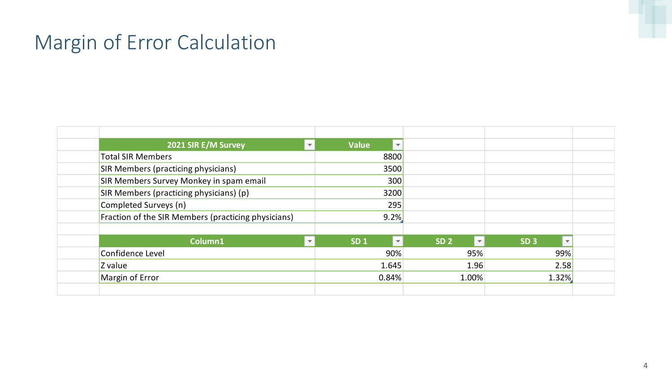## Margin of Error Calculation

| 2021 SIR E/M Survey                                 | $\overline{\mathbf{v}}$ | <b>Value</b><br>$\overline{\mathbf{v}}$     |                                         |                                             |  |
|-----------------------------------------------------|-------------------------|---------------------------------------------|-----------------------------------------|---------------------------------------------|--|
| <b>Total SIR Members</b>                            |                         | 8800                                        |                                         |                                             |  |
| <b>SIR Members (practicing physicians)</b>          |                         | 3500                                        |                                         |                                             |  |
| SIR Members Survey Monkey in spam email             |                         | 300                                         |                                         |                                             |  |
| SIR Members (practicing physicians) (p)             |                         | 3200                                        |                                         |                                             |  |
| Completed Surveys (n)                               |                         | 295                                         |                                         |                                             |  |
| Fraction of the SIR Members (practicing physicians) |                         | 9.2%                                        |                                         |                                             |  |
|                                                     |                         |                                             |                                         |                                             |  |
| Column1                                             | $\overline{\mathbf{v}}$ | SD <sub>1</sub><br>$\overline{\phantom{a}}$ | <b>SD 2</b><br>$\overline{\phantom{a}}$ | SD <sub>3</sub><br>$\overline{\phantom{a}}$ |  |
| Confidence Level                                    |                         | 90%                                         | 95%                                     | 99%                                         |  |
| Z value                                             |                         | 1.645                                       | 1.96                                    | 2.58                                        |  |
| Margin of Error                                     |                         | 0.84%                                       | 1.00%                                   | 1.32%                                       |  |
|                                                     |                         |                                             |                                         |                                             |  |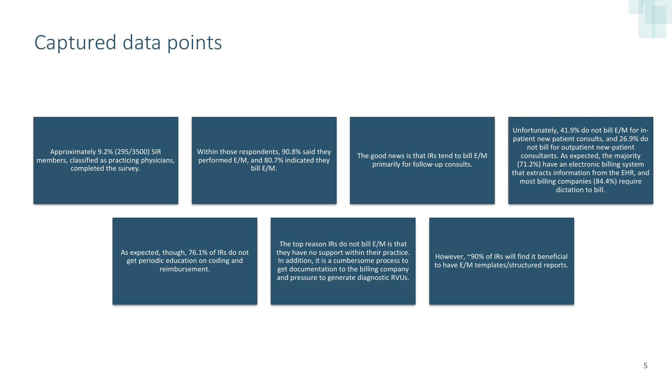## Captured data points

Within those respondents, 90.8% said they performed E/M, and 80.7% indicated they bill E/M.

Approximately 9.2% (295/3500) SIR members, classified as practicing physicians, completed the survey.

> As expected, though, 76.1% of IRs do not get periodic education on coding and reimbursement.

The top reason IRs do not bill E/M is that they have no support within their practice. In addition, it is a cumbersome process to get documentation to the billing company and pressure to generate diagnostic RVUs.

The good news is that IRs tend to bill E/M primarily for follow-up consults.

> However, ~90% of IRs will find it beneficial to have E/M templates/structured reports.

Unfortunately, 41.9% do not bill E/M for inpatient new patient consults, and 26.9% do not bill for outpatient new-patient consultants. As expected, the majority (71.2%) have an electronic billing system that extracts information from the EHR, and most billing companies (84.4%) require dictation to bill.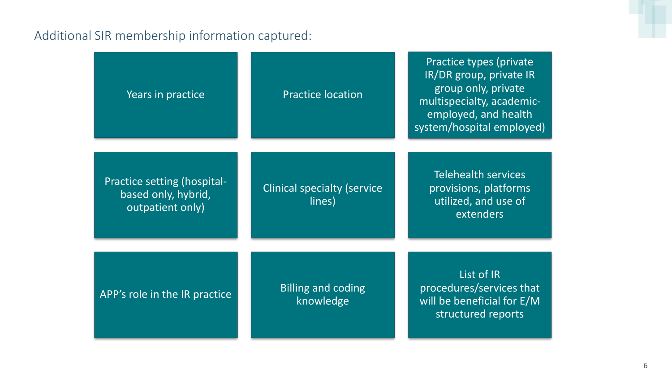### Additional SIR membership information captured:

| Years in practice                                                             | <b>Practice location</b>                     | Practice types (private)<br>IR/DR group, private IR<br>group only, private<br>multispecialty, academic-<br>employed, and health<br>system/hospital employed) |
|-------------------------------------------------------------------------------|----------------------------------------------|--------------------------------------------------------------------------------------------------------------------------------------------------------------|
| <b>Practice setting (hospital-</b><br>based only, hybrid,<br>outpatient only) | <b>Clinical specialty (service</b><br>lines) | <b>Telehealth services</b><br>provisions, platforms<br>utilized, and use of<br>extenders                                                                     |
| APP's role in the IR practice                                                 | <b>Billing and coding</b><br>knowledge       | List of IR<br>procedures/services that<br>will be beneficial for E/M<br>structured reports                                                                   |